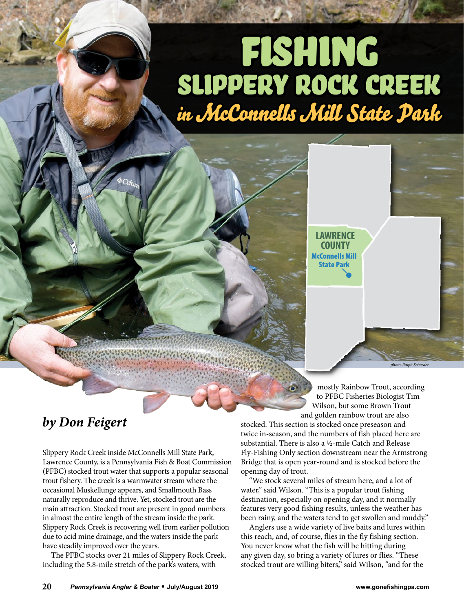## FISHING Slippery Rock Creek in McConnells Mill State Park



## *by Don Feigert*

Slippery Rock Creek inside McConnells Mill State Park, Lawrence County, is a Pennsylvania Fish & Boat Commission (PFBC) stocked trout water that supports a popular seasonal trout fishery. The creek is a warmwater stream where the occasional Muskellunge appears, and Smallmouth Bass naturally reproduce and thrive. Yet, stocked trout are the main attraction. Stocked trout are present in good numbers in almost the entire length of the stream inside the park. Slippery Rock Creek is recovering well from earlier pollution due to acid mine drainage, and the waters inside the park have steadily improved over the years.

The PFBC stocks over 21 miles of Slippery Rock Creek, including the 5.8-mile stretch of the park's waters, with

mostly Rainbow Trout, according to PFBC Fisheries Biologist Tim Wilson, but some Brown Trout and golden rainbow trout are also

*photo-Ralph Scherder*

stocked. This section is stocked once preseason and twice in-season, and the numbers of fish placed here are substantial. There is also a  $\frac{1}{2}$ -mile Catch and Release Fly-Fishing Only section downstream near the Armstrong Bridge that is open year-round and is stocked before the opening day of trout.

"We stock several miles of stream here, and a lot of water," said Wilson. "This is a popular trout fishing destination, especially on opening day, and it normally features very good fishing results, unless the weather has been rainy, and the waters tend to get swollen and muddy."

Anglers use a wide variety of live baits and lures within this reach, and, of course, flies in the fly fishing section. You never know what the fish will be hitting during any given day, so bring a variety of lures or flies. "These stocked trout are willing biters," said Wilson, "and for the